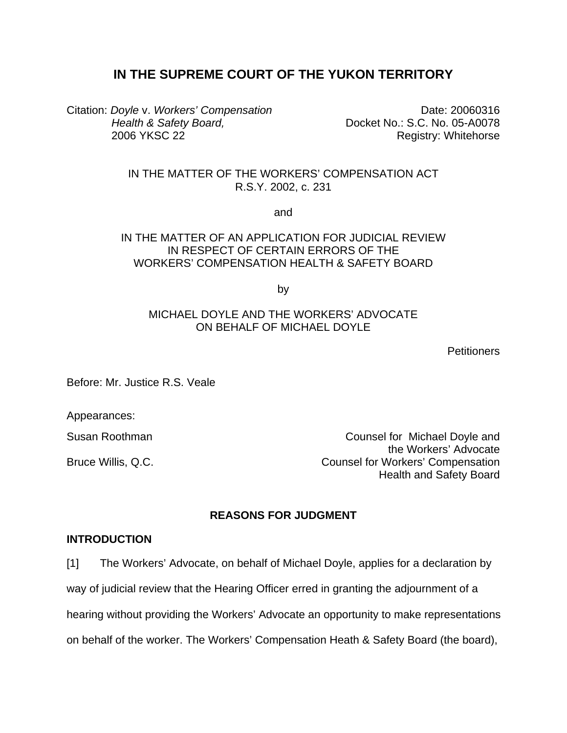# **IN THE SUPREME COURT OF THE YUKON TERRITORY**

Citation: *Doyle* v. *Workers' Compensation Health & Safety Board,*  2006 YKSC 22

Date: 20060316 Docket No.: S.C. No. 05-A0078 Registry: Whitehorse

IN THE MATTER OF THE WORKERS' COMPENSATION ACT R.S.Y. 2002, c. 231

and

## IN THE MATTER OF AN APPLICATION FOR JUDICIAL REVIEW IN RESPECT OF CERTAIN ERRORS OF THE WORKERS' COMPENSATION HEALTH & SAFETY BOARD

by

### MICHAEL DOYLE AND THE WORKERS' ADVOCATE ON BEHALF OF MICHAEL DOYLE

**Petitioners** 

Before: Mr. Justice R.S. Veale

Appearances:

Susan Roothman Counsel for Michael Doyle and the Workers' Advocate Bruce Willis, Q.C. **Counsel for Workers' Compensation** Health and Safety Board

## **REASONS FOR JUDGMENT**

#### **INTRODUCTION**

[1] The Workers' Advocate, on behalf of Michael Doyle, applies for a declaration by way of judicial review that the Hearing Officer erred in granting the adjournment of a

hearing without providing the Workers' Advocate an opportunity to make representations

on behalf of the worker. The Workers' Compensation Heath & Safety Board (the board),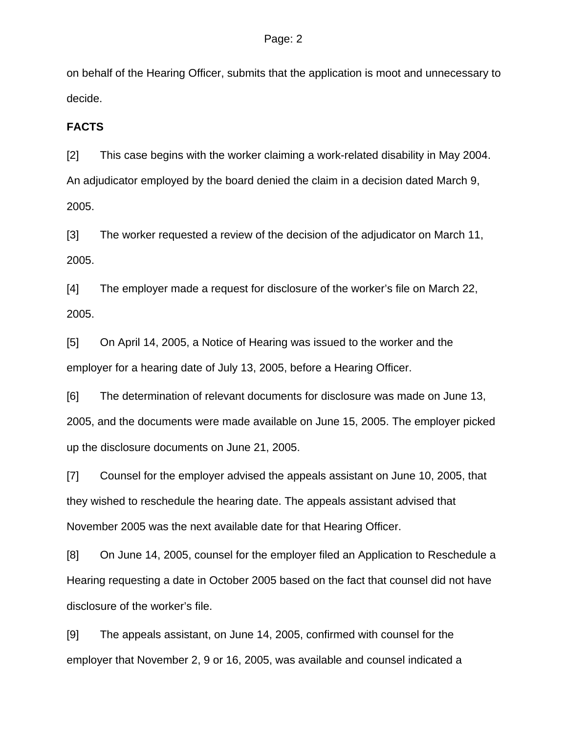on behalf of the Hearing Officer, submits that the application is moot and unnecessary to decide.

## **FACTS**

[2] This case begins with the worker claiming a work-related disability in May 2004. An adjudicator employed by the board denied the claim in a decision dated March 9, 2005.

[3] The worker requested a review of the decision of the adjudicator on March 11, 2005.

[4] The employer made a request for disclosure of the worker's file on March 22, 2005.

[5] On April 14, 2005, a Notice of Hearing was issued to the worker and the employer for a hearing date of July 13, 2005, before a Hearing Officer.

[6] The determination of relevant documents for disclosure was made on June 13, 2005, and the documents were made available on June 15, 2005. The employer picked up the disclosure documents on June 21, 2005.

[7] Counsel for the employer advised the appeals assistant on June 10, 2005, that they wished to reschedule the hearing date. The appeals assistant advised that November 2005 was the next available date for that Hearing Officer.

[8] On June 14, 2005, counsel for the employer filed an Application to Reschedule a Hearing requesting a date in October 2005 based on the fact that counsel did not have disclosure of the worker's file.

[9] The appeals assistant, on June 14, 2005, confirmed with counsel for the employer that November 2, 9 or 16, 2005, was available and counsel indicated a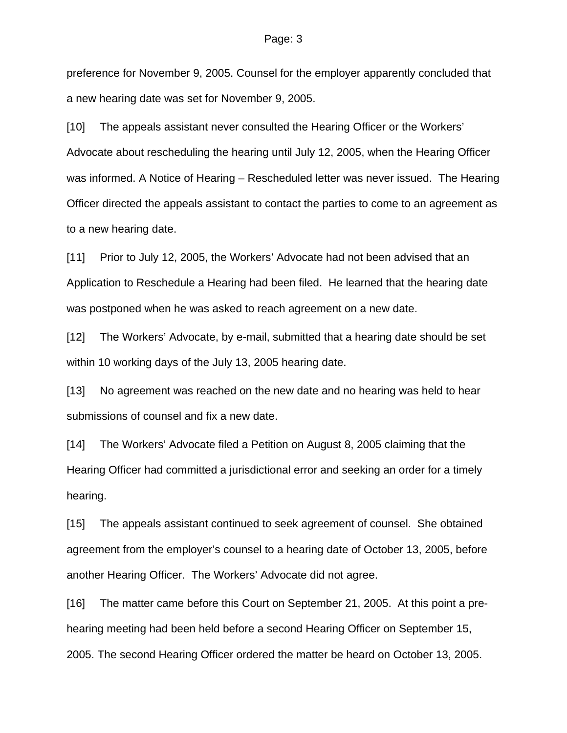#### Page: 3

preference for November 9, 2005. Counsel for the employer apparently concluded that a new hearing date was set for November 9, 2005.

[10] The appeals assistant never consulted the Hearing Officer or the Workers' Advocate about rescheduling the hearing until July 12, 2005, when the Hearing Officer was informed. A Notice of Hearing – Rescheduled letter was never issued. The Hearing Officer directed the appeals assistant to contact the parties to come to an agreement as to a new hearing date.

[11] Prior to July 12, 2005, the Workers' Advocate had not been advised that an Application to Reschedule a Hearing had been filed. He learned that the hearing date was postponed when he was asked to reach agreement on a new date.

[12] The Workers' Advocate, by e-mail, submitted that a hearing date should be set within 10 working days of the July 13, 2005 hearing date.

[13] No agreement was reached on the new date and no hearing was held to hear submissions of counsel and fix a new date.

[14] The Workers' Advocate filed a Petition on August 8, 2005 claiming that the Hearing Officer had committed a jurisdictional error and seeking an order for a timely hearing.

[15] The appeals assistant continued to seek agreement of counsel. She obtained agreement from the employer's counsel to a hearing date of October 13, 2005, before another Hearing Officer. The Workers' Advocate did not agree.

[16] The matter came before this Court on September 21, 2005. At this point a prehearing meeting had been held before a second Hearing Officer on September 15, 2005. The second Hearing Officer ordered the matter be heard on October 13, 2005.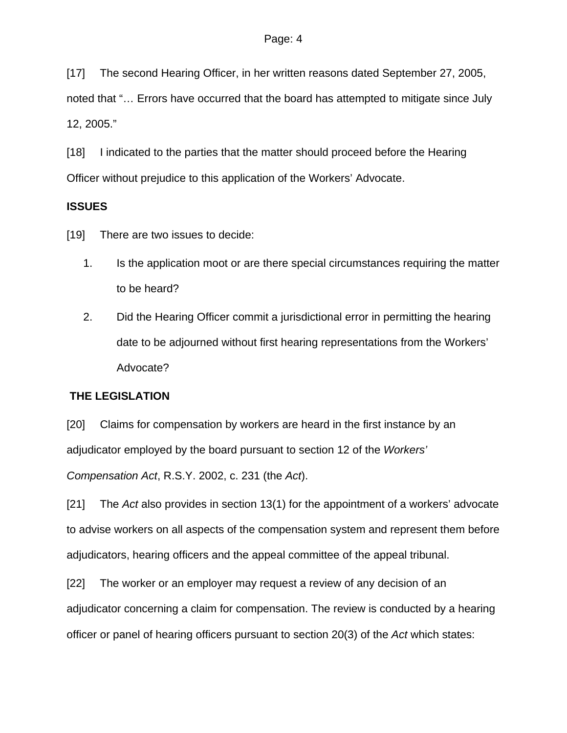[17] The second Hearing Officer, in her written reasons dated September 27, 2005,

noted that "… Errors have occurred that the board has attempted to mitigate since July 12, 2005."

[18] I indicated to the parties that the matter should proceed before the Hearing Officer without prejudice to this application of the Workers' Advocate.

# **ISSUES**

[19] There are two issues to decide:

- 1. Is the application moot or are there special circumstances requiring the matter to be heard?
- 2. Did the Hearing Officer commit a jurisdictional error in permitting the hearing date to be adjourned without first hearing representations from the Workers' Advocate?

# **THE LEGISLATION**

[20] Claims for compensation by workers are heard in the first instance by an adjudicator employed by the board pursuant to section 12 of the *Workers'* 

*Compensation Act*, R.S.Y. 2002, c. 231 (the *Act*).

[21] The *Act* also provides in section 13(1) for the appointment of a workers' advocate to advise workers on all aspects of the compensation system and represent them before adjudicators, hearing officers and the appeal committee of the appeal tribunal.

[22] The worker or an employer may request a review of any decision of an adjudicator concerning a claim for compensation. The review is conducted by a hearing officer or panel of hearing officers pursuant to section 20(3) of the *Act* which states: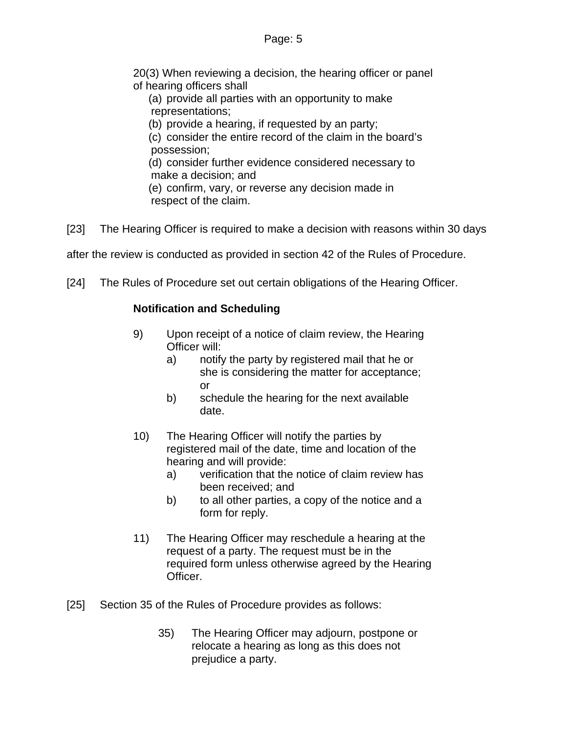20(3) When reviewing a decision, the hearing officer or panel of hearing officers shall

(a) provide all parties with an opportunity to make representations;

(b) provide a hearing, if requested by an party;

(c) consider the entire record of the claim in the board's possession;

(d) consider further evidence considered necessary to make a decision; and

(e) confirm, vary, or reverse any decision made in respect of the claim.

[23] The Hearing Officer is required to make a decision with reasons within 30 days

after the review is conducted as provided in section 42 of the Rules of Procedure.

[24] The Rules of Procedure set out certain obligations of the Hearing Officer.

# **Notification and Scheduling**

- 9) Upon receipt of a notice of claim review, the Hearing Officer will:
	- a) notify the party by registered mail that he or she is considering the matter for acceptance; or
	- b) schedule the hearing for the next available date.
- 10) The Hearing Officer will notify the parties by registered mail of the date, time and location of the hearing and will provide:
	- a) verification that the notice of claim review has been received; and
	- b) to all other parties, a copy of the notice and a form for reply.
- 11) The Hearing Officer may reschedule a hearing at the request of a party. The request must be in the required form unless otherwise agreed by the Hearing Officer.
- [25] Section 35 of the Rules of Procedure provides as follows:
	- 35) The Hearing Officer may adjourn, postpone or relocate a hearing as long as this does not prejudice a party.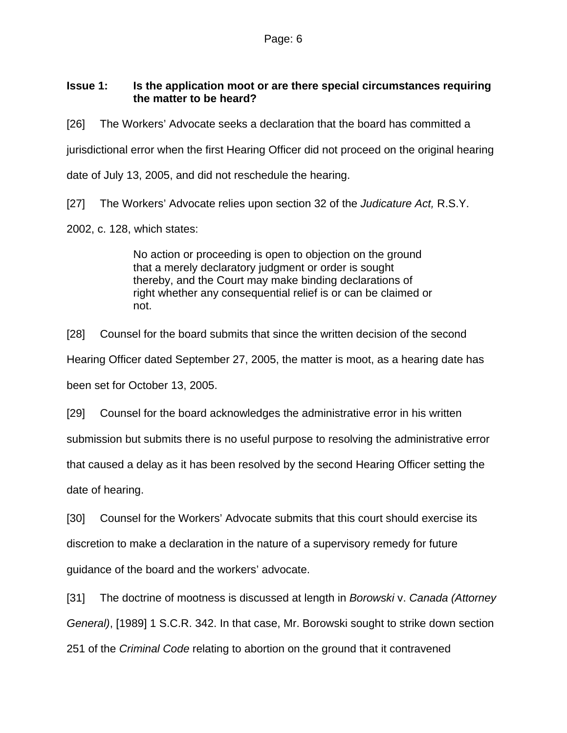# **Issue 1: Is the application moot or are there special circumstances requiring the matter to be heard?**

[26] The Workers' Advocate seeks a declaration that the board has committed a jurisdictional error when the first Hearing Officer did not proceed on the original hearing date of July 13, 2005, and did not reschedule the hearing.

[27] The Workers' Advocate relies upon section 32 of the *Judicature Act,* R.S.Y. 2002, c. 128, which states:

> No action or proceeding is open to objection on the ground that a merely declaratory judgment or order is sought thereby, and the Court may make binding declarations of right whether any consequential relief is or can be claimed or not.

[28] Counsel for the board submits that since the written decision of the second Hearing Officer dated September 27, 2005, the matter is moot, as a hearing date has been set for October 13, 2005.

[29] Counsel for the board acknowledges the administrative error in his written submission but submits there is no useful purpose to resolving the administrative error that caused a delay as it has been resolved by the second Hearing Officer setting the date of hearing.

[30] Counsel for the Workers' Advocate submits that this court should exercise its discretion to make a declaration in the nature of a supervisory remedy for future guidance of the board and the workers' advocate.

[31] The doctrine of mootness is discussed at length in *Borowski* v. *Canada (Attorney General)*, [1989] 1 S.C.R. 342. In that case, Mr. Borowski sought to strike down section 251 of the *Criminal Code* relating to abortion on the ground that it contravened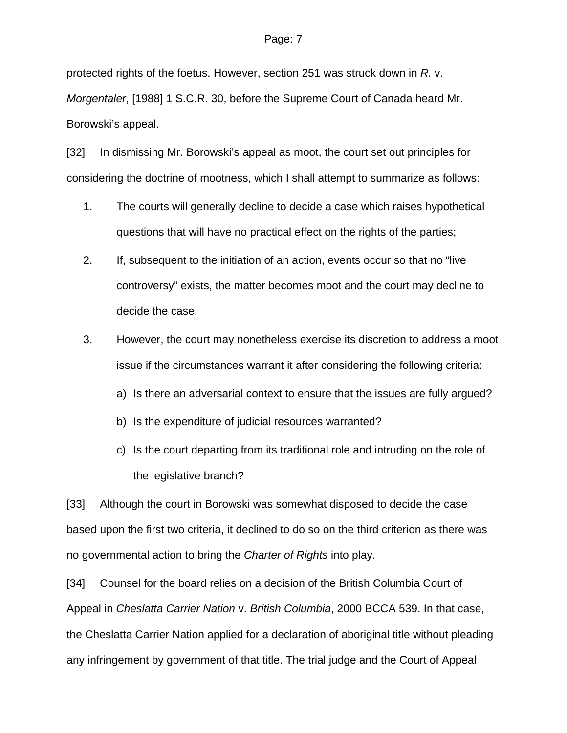#### Page: 7

protected rights of the foetus. However, section 251 was struck down in *R.* v. *Morgentaler*, [1988] 1 S.C.R. 30, before the Supreme Court of Canada heard Mr. Borowski's appeal.

[32] In dismissing Mr. Borowski's appeal as moot, the court set out principles for considering the doctrine of mootness, which I shall attempt to summarize as follows:

- 1. The courts will generally decline to decide a case which raises hypothetical questions that will have no practical effect on the rights of the parties;
- 2. If, subsequent to the initiation of an action, events occur so that no "live controversy" exists, the matter becomes moot and the court may decline to decide the case.
- 3. However, the court may nonetheless exercise its discretion to address a moot issue if the circumstances warrant it after considering the following criteria:
	- a) Is there an adversarial context to ensure that the issues are fully argued?
	- b) Is the expenditure of judicial resources warranted?
	- c) Is the court departing from its traditional role and intruding on the role of the legislative branch?

[33] Although the court in Borowski was somewhat disposed to decide the case based upon the first two criteria, it declined to do so on the third criterion as there was no governmental action to bring the *Charter of Rights* into play.

[34] Counsel for the board relies on a decision of the British Columbia Court of Appeal in *Cheslatta Carrier Nation* v. *British Columbia*, 2000 BCCA 539. In that case, the Cheslatta Carrier Nation applied for a declaration of aboriginal title without pleading any infringement by government of that title. The trial judge and the Court of Appeal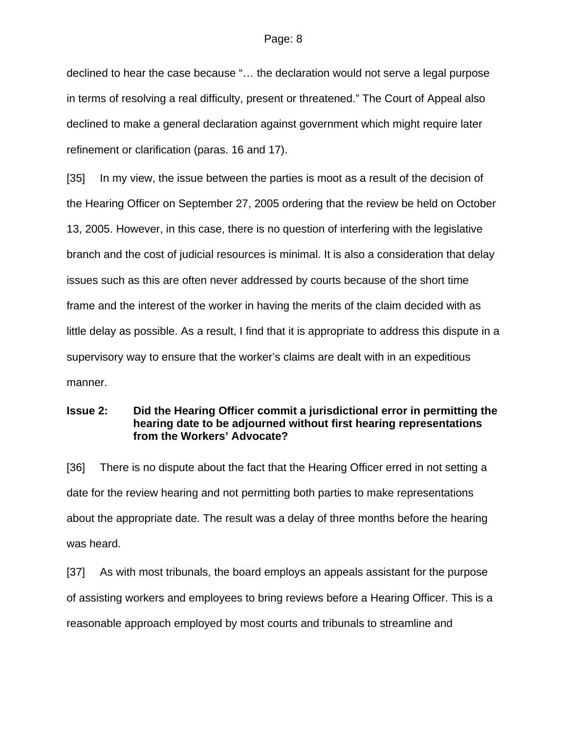declined to hear the case because "… the declaration would not serve a legal purpose in terms of resolving a real difficulty, present or threatened." The Court of Appeal also declined to make a general declaration against government which might require later refinement or clarification (paras. 16 and 17).

[35] In my view, the issue between the parties is moot as a result of the decision of the Hearing Officer on September 27, 2005 ordering that the review be held on October 13, 2005. However, in this case, there is no question of interfering with the legislative branch and the cost of judicial resources is minimal. It is also a consideration that delay issues such as this are often never addressed by courts because of the short time frame and the interest of the worker in having the merits of the claim decided with as little delay as possible. As a result, I find that it is appropriate to address this dispute in a supervisory way to ensure that the worker's claims are dealt with in an expeditious manner.

### **Issue 2: Did the Hearing Officer commit a jurisdictional error in permitting the hearing date to be adjourned without first hearing representations from the Workers' Advocate?**

[36] There is no dispute about the fact that the Hearing Officer erred in not setting a date for the review hearing and not permitting both parties to make representations about the appropriate date. The result was a delay of three months before the hearing was heard.

[37] As with most tribunals, the board employs an appeals assistant for the purpose of assisting workers and employees to bring reviews before a Hearing Officer. This is a reasonable approach employed by most courts and tribunals to streamline and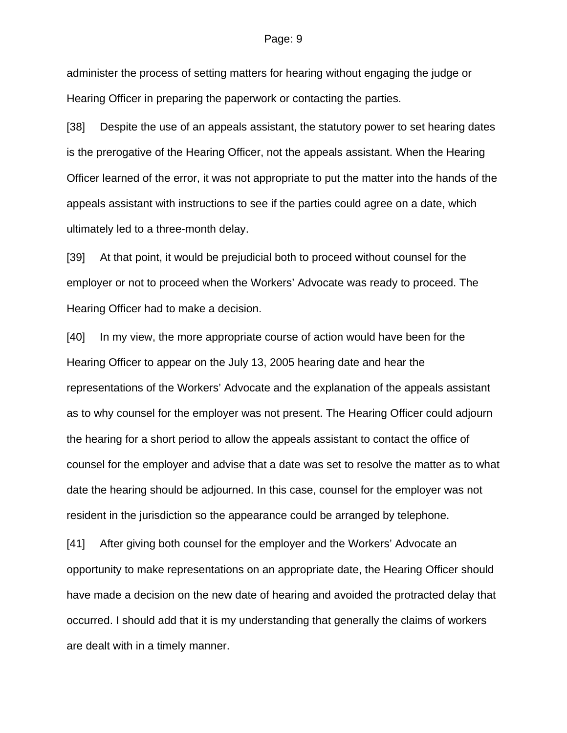#### Page: 9

administer the process of setting matters for hearing without engaging the judge or Hearing Officer in preparing the paperwork or contacting the parties.

[38] Despite the use of an appeals assistant, the statutory power to set hearing dates is the prerogative of the Hearing Officer, not the appeals assistant. When the Hearing Officer learned of the error, it was not appropriate to put the matter into the hands of the appeals assistant with instructions to see if the parties could agree on a date, which ultimately led to a three-month delay.

[39] At that point, it would be prejudicial both to proceed without counsel for the employer or not to proceed when the Workers' Advocate was ready to proceed. The Hearing Officer had to make a decision.

[40] In my view, the more appropriate course of action would have been for the Hearing Officer to appear on the July 13, 2005 hearing date and hear the representations of the Workers' Advocate and the explanation of the appeals assistant as to why counsel for the employer was not present. The Hearing Officer could adjourn the hearing for a short period to allow the appeals assistant to contact the office of counsel for the employer and advise that a date was set to resolve the matter as to what date the hearing should be adjourned. In this case, counsel for the employer was not resident in the jurisdiction so the appearance could be arranged by telephone.

[41] After giving both counsel for the employer and the Workers' Advocate an opportunity to make representations on an appropriate date, the Hearing Officer should have made a decision on the new date of hearing and avoided the protracted delay that occurred. I should add that it is my understanding that generally the claims of workers are dealt with in a timely manner.